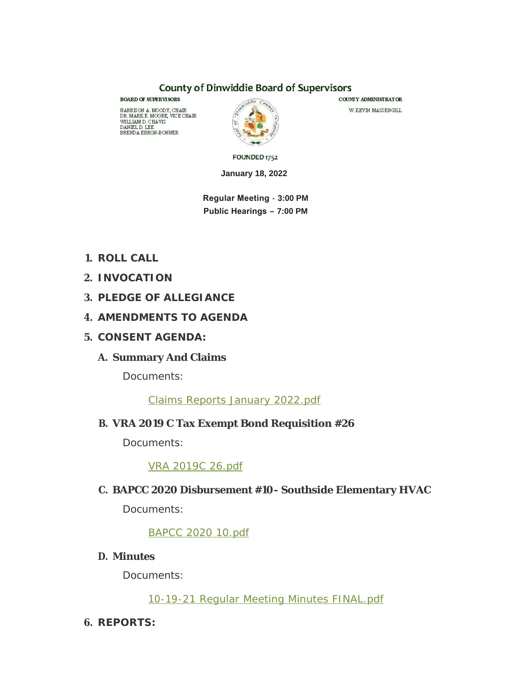#### **County of Dinwiddie Board of Supervisors**

**BOARD OF SUPERVISORS** HARRISON A. MOODY, CHAIR<br>DR. MARK E. MOORE, VICE CHAIR DR. MARKE, MOORE, VICE<br>WILLIAM D. CHAVIS<br>DANIEL D. LEE<br>BRENDA EBRON-BONNER



COUNTY ADMINISTRATOR W. KEVIN MASSENGILL

FOUNDED 1752

**January 18, 2022**

 **Regular Meeting - 3:00 PM Public Hearings – 7:00 PM**

- **ROLL CALL 1.**
- **INVOCATION 2.**
- **PLEDGE OF ALLEGIANCE 3.**
- **AMENDMENTS TO AGENDA 4.**
- **CONSENT AGENDA: 5.**
	- **Summary And Claims A.**

Documents:

[Claims Reports January 2022.pdf](http://www.dinwiddieva.us/AgendaCenter/ViewFile/Item/5389?fileID=8968)

# **VRA 2019 C Tax Exempt Bond Requisition #26 B.**

Documents:

[VRA 2019C 26.pdf](http://www.dinwiddieva.us/AgendaCenter/ViewFile/Item/5390?fileID=8934)

# **BAPCC 2020 Disbursement #10- Southside Elementary HVAC C.**

Documents:

[BAPCC 2020 10.pdf](http://www.dinwiddieva.us/AgendaCenter/ViewFile/Item/5449?fileID=8967)

**Minutes D.**

Documents:

[10-19-21 Regular Meeting Minutes FINAL.pdf](http://www.dinwiddieva.us/AgendaCenter/ViewFile/Item/5392?fileID=8966)

**REPORTS: 6.**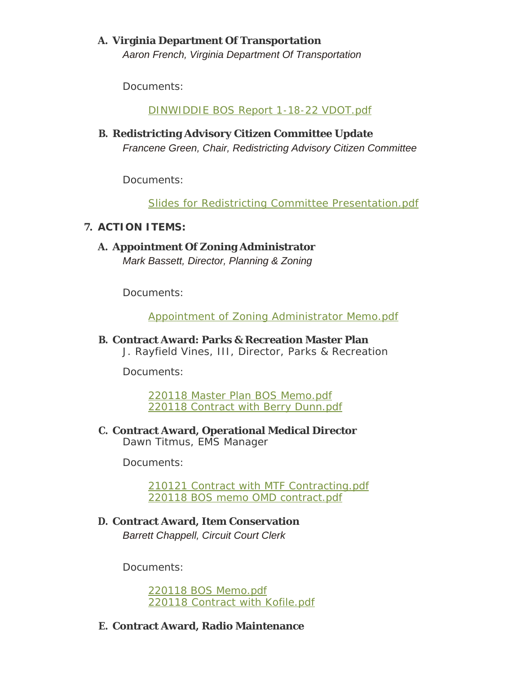# **Virginia Department Of Transportation A.**

*Aaron French, Virginia Department Of Transportation*

Documents:

[DINWIDDIE BOS Report 1-18-22 VDOT.pdf](http://www.dinwiddieva.us/AgendaCenter/ViewFile/Item/5393?fileID=8956)

**Redistricting Advisory Citizen Committee Update B.** *Francene Green, Chair, Redistricting Advisory Citizen Committee*

Documents:

[Slides for Redistricting Committee Presentation.pdf](http://www.dinwiddieva.us/AgendaCenter/ViewFile/Item/5446?fileID=8969)

### **ACTION ITEMS: 7.**

**A. Appointment Of Zoning Administrator** *Mark Bassett, Director, Planning & Zoning*

Documents:

[Appointment of Zoning Administrator Memo.pdf](http://www.dinwiddieva.us/AgendaCenter/ViewFile/Item/5394?fileID=8916)

**Contract Award: Parks & Recreation Master Plan B.**

*J. Rayfield Vines, III, Director, Parks & Recreation*

Documents:

[220118 Master Plan BOS Memo.pdf](http://www.dinwiddieva.us/AgendaCenter/ViewFile/Item/5388?fileID=8923) [220118 Contract with Berry Dunn.pdf](http://www.dinwiddieva.us/AgendaCenter/ViewFile/Item/5388?fileID=8922)

**C. Contract Award, Operational Medical Director** *Dawn Titmus, EMS Manager*

Documents:

[210121 Contract with MTF Contracting.pdf](http://www.dinwiddieva.us/AgendaCenter/ViewFile/Item/5385?fileID=8910) [220118 BOS memo OMD contract.pdf](http://www.dinwiddieva.us/AgendaCenter/ViewFile/Item/5385?fileID=8911)

**Contract Award, Item Conservation D.** *Barrett Chappell, Circuit Court Clerk*

Documents:

[220118 BOS Memo.pdf](http://www.dinwiddieva.us/AgendaCenter/ViewFile/Item/5386?fileID=8912) [220118 Contract with Kofile.pdf](http://www.dinwiddieva.us/AgendaCenter/ViewFile/Item/5386?fileID=8913)

### **Contract Award, Radio Maintenance E.**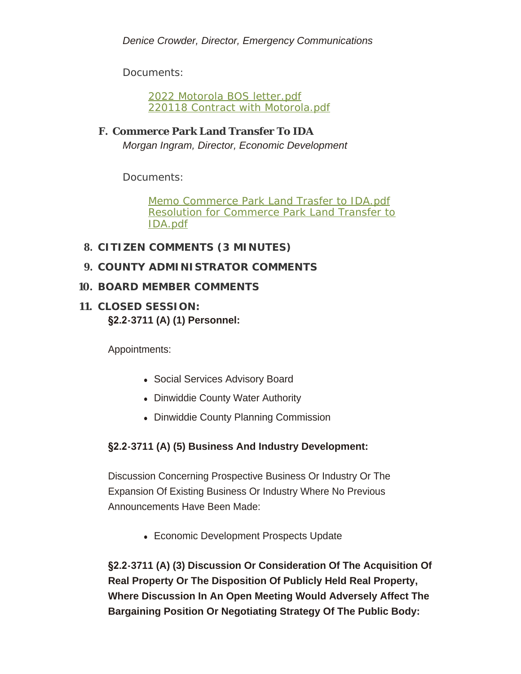Documents:

[2022 Motorola BOS letter.pdf](http://www.dinwiddieva.us/AgendaCenter/ViewFile/Item/5387?fileID=8915) [220118 Contract with Motorola.pdf](http://www.dinwiddieva.us/AgendaCenter/ViewFile/Item/5387?fileID=8914)

**Commerce Park Land Transfer To IDA F.** *Morgan Ingram, Director, Economic Development*

Documents:

[Memo Commerce Park Land Trasfer to IDA.pdf](http://www.dinwiddieva.us/AgendaCenter/ViewFile/Item/5395?fileID=8928) [Resolution for Commerce Park Land Transfer to](http://www.dinwiddieva.us/AgendaCenter/ViewFile/Item/5395?fileID=8929)  IDA.pdf

- **CITIZEN COMMENTS (3 MINUTES) 8.**
- **COUNTY ADMINISTRATOR COMMENTS 9.**
- **BOARD MEMBER COMMENTS 10.**
- **CLOSED SESSION: 11. §2.2-3711 (A) (1) Personnel:**

Appointments:

- Social Services Advisory Board
- Dinwiddie County Water Authority
- Dinwiddie County Planning Commission

# **§2.2-3711 (A) (5) Business And Industry Development:**

Discussion Concerning Prospective Business Or Industry Or The Expansion Of Existing Business Or Industry Where No Previous Announcements Have Been Made:

• Economic Development Prospects Update

**§2.2-3711 (A) (3) Discussion Or Consideration Of The Acquisition Of Real Property Or The Disposition Of Publicly Held Real Property, Where Discussion In An Open Meeting Would Adversely Affect The Bargaining Position Or Negotiating Strategy Of The Public Body:**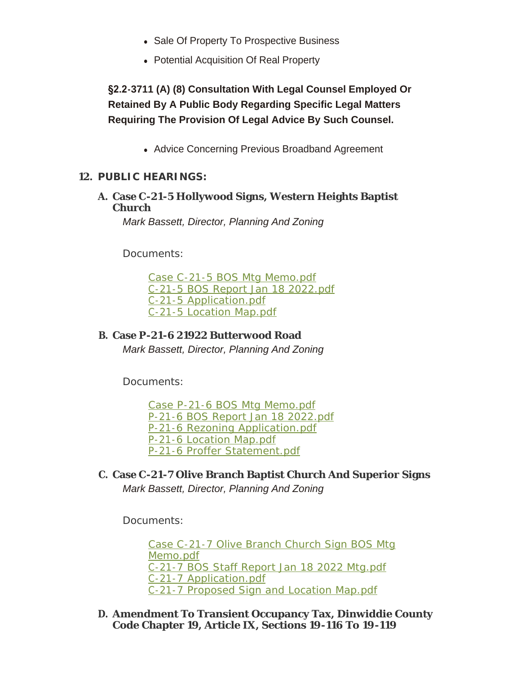- Sale Of Property To Prospective Business
- Potential Acquisition Of Real Property

**§2.2-3711 (A) (8) Consultation With Legal Counsel Employed Or Retained By A Public Body Regarding Specific Legal Matters Requiring The Provision Of Legal Advice By Such Counsel.**

• Advice Concerning Previous Broadband Agreement

#### **PUBLIC HEARINGS: 12.**

**Case C-21-5 Hollywood Signs, Western Heights Baptist A. Church**

*Mark Bassett, Director, Planning And Zoning*

Documents:

[Case C-21-5 BOS Mtg Memo.pdf](http://www.dinwiddieva.us/AgendaCenter/ViewFile/Item/5306?fileID=8933) [C-21-5 BOS Report Jan 18 2022.pdf](http://www.dinwiddieva.us/AgendaCenter/ViewFile/Item/5306?fileID=8932) [C-21-5 Application.pdf](http://www.dinwiddieva.us/AgendaCenter/ViewFile/Item/5306?fileID=8931) [C-21-5 Location Map.pdf](http://www.dinwiddieva.us/AgendaCenter/ViewFile/Item/5306?fileID=8930)

#### **Case P-21-6 21922 Butterwood Road B.** *Mark Bassett, Director, Planning And Zoning*

Documents:

[Case P-21-6 BOS Mtg Memo.pdf](http://www.dinwiddieva.us/AgendaCenter/ViewFile/Item/5305?fileID=8961) [P-21-6 BOS Report Jan 18 2022.pdf](http://www.dinwiddieva.us/AgendaCenter/ViewFile/Item/5305?fileID=8962) [P-21-6 Rezoning Application.pdf](http://www.dinwiddieva.us/AgendaCenter/ViewFile/Item/5305?fileID=8965) [P-21-6 Location Map.pdf](http://www.dinwiddieva.us/AgendaCenter/ViewFile/Item/5305?fileID=8964) [P-21-6 Proffer Statement.pdf](http://www.dinwiddieva.us/AgendaCenter/ViewFile/Item/5305?fileID=8963)

**Case C-21-7 Olive Branch Baptist Church And Superior Signs C.** *Mark Bassett, Director, Planning And Zoning*

Documents:

[Case C-21-7 Olive Branch Church Sign BOS Mtg](http://www.dinwiddieva.us/AgendaCenter/ViewFile/Item/5304?fileID=8960)  Memo.pdf [C-21-7 BOS Staff Report Jan 18 2022 Mtg.pdf](http://www.dinwiddieva.us/AgendaCenter/ViewFile/Item/5304?fileID=8958) [C-21-7 Application.pdf](http://www.dinwiddieva.us/AgendaCenter/ViewFile/Item/5304?fileID=8957) [C-21-7 Proposed Sign and Location Map.pdf](http://www.dinwiddieva.us/AgendaCenter/ViewFile/Item/5304?fileID=8959)

**Amendment To Transient Occupancy Tax, Dinwiddie County D. Code Chapter 19, Article IX, Sections 19-116 To 19-119**